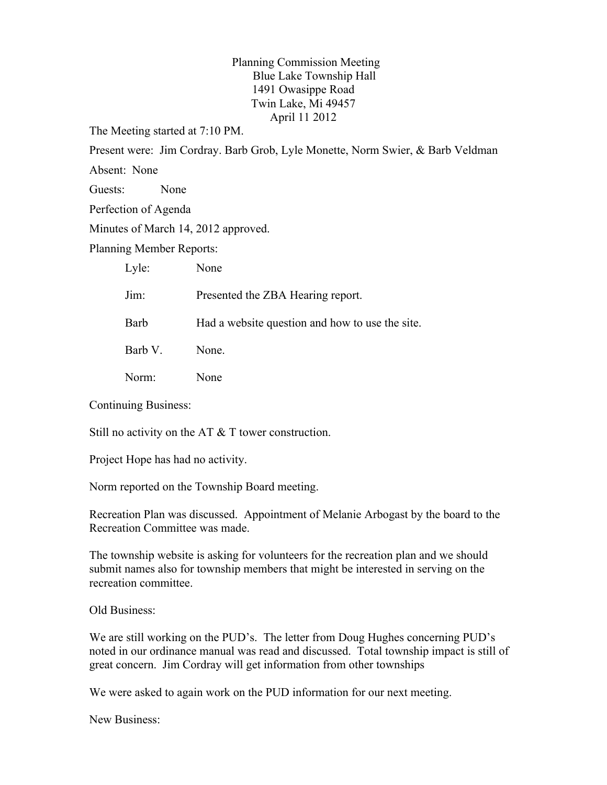Planning Commission Meeting Blue Lake Township Hall 1491 Owasippe Road Twin Lake, Mi 49457 April 11 2012

The Meeting started at 7:10 PM.

Present were: Jim Cordray. Barb Grob, Lyle Monette, Norm Swier, & Barb Veldman

Absent: None

Guests: None

Perfection of Agenda

Minutes of March 14, 2012 approved.

Planning Member Reports:

Lyle: None

Jim: Presented the ZBA Hearing report.

Barb Had a website question and how to use the site.

Barb V. None.

Norm: None

Continuing Business:

Still no activity on the AT & T tower construction.

Project Hope has had no activity.

Norm reported on the Township Board meeting.

Recreation Plan was discussed. Appointment of Melanie Arbogast by the board to the Recreation Committee was made.

The township website is asking for volunteers for the recreation plan and we should submit names also for township members that might be interested in serving on the recreation committee.

Old Business:

We are still working on the PUD's. The letter from Doug Hughes concerning PUD's noted in our ordinance manual was read and discussed. Total township impact is still of great concern. Jim Cordray will get information from other townships

We were asked to again work on the PUD information for our next meeting.

New Business: